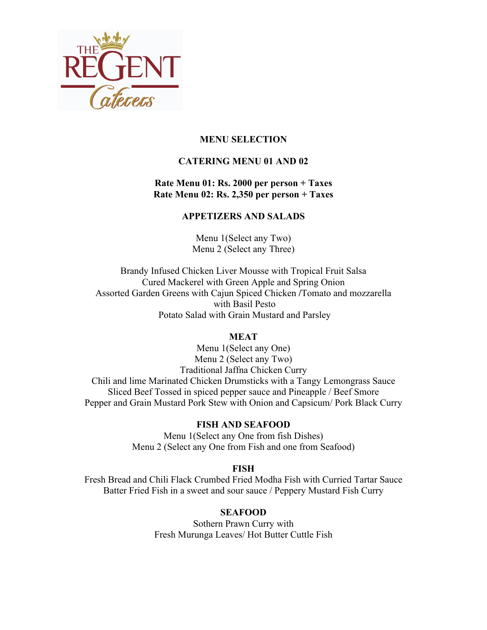

## **MENU SELECTION**

# **CATERING MENU 01 AND 02**

### **Rate Menu 01: Rs. 2000 per person + Taxes Rate Menu 02: Rs. 2,350 per person + Taxes**

### **APPETIZERS AND SALADS**

Menu 1(Select any Two) Menu 2 (Select any Three)

Brandy Infused Chicken Liver Mousse with Tropical Fruit Salsa Cured Mackerel with Green Apple and Spring Onion Assorted Garden Greens with Cajun Spiced Chicken **/**Tomato and mozzarella with Basil Pesto Potato Salad with Grain Mustard and Parsley

### **MEAT**

Menu 1(Select any One) Menu 2 (Select any Two) Traditional Jaffna Chicken Curry Chili and lime Marinated Chicken Drumsticks with a Tangy Lemongrass Sauce Sliced Beef Tossed in spiced pepper sauce and Pineapple / Beef Smore Pepper and Grain Mustard Pork Stew with Onion and Capsicum/ Pork Black Curry

### **FISH AND SEAFOOD**

Menu 1(Select any One from fish Dishes) Menu 2 (Select any One from Fish and one from Seafood)

#### **FISH**

Fresh Bread and Chili Flack Crumbed Fried Modha Fish with Curried Tartar Sauce Batter Fried Fish in a sweet and sour sauce / Peppery Mustard Fish Curry

### **SEAFOOD**

Sothern Prawn Curry with Fresh Murunga Leaves/ Hot Butter Cuttle Fish